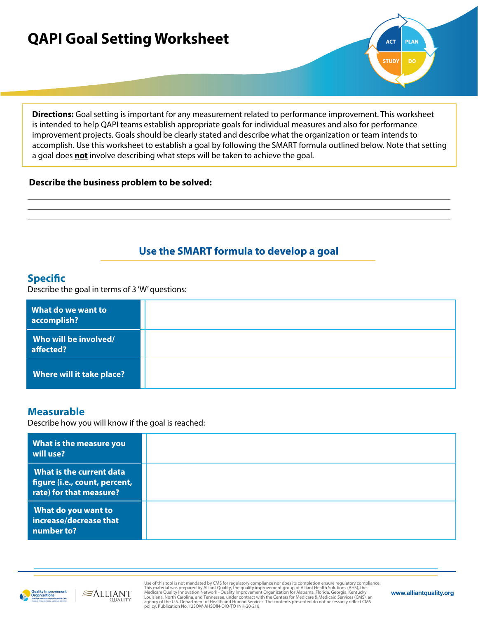# **QAPI Goal Setting Worksheet**

**Directions:** Goal setting is important for any measurement related to performance improvement. This worksheet is intended to help QAPI teams establish appropriate goals for individual measures and also for performance improvement projects. Goals should be clearly stated and describe what the organization or team intends to accomplish. Use this worksheet to establish a goal by following the SMART formula outlined below. Note that setting a goal does **not** involve describing what steps will be taken to achieve the goal.

#### **Describe the business problem to be solved:**

# **Use the SMART formula to develop a goal**

## **Specific**

Describe the goal in terms of 3 'W' questions:

| What do we want to<br>accomplish?  |  |
|------------------------------------|--|
| Who will be involved/<br>affected? |  |
| Where will it take place?          |  |

## **Measurable**

Describe how you will know if the goal is reached:

 $\approx$ ALLIANT

| What is the measure you<br>will use?                                                 |  |
|--------------------------------------------------------------------------------------|--|
| What is the current data<br>figure (i.e., count, percent,<br>rate) for that measure? |  |
| What do you want to<br>increase/decrease that<br>number to?                          |  |



Use of this tool is not mandated by CMS for regulatory compliance nor does its completion ensure regulatory compliance. This material was prepared by Alliant Quality, the quality improvement group of Alliant Health Solutions (AHS), the<br>Medicare Quality Innovation Network- Quality Improvement Organization for Alabama, Florida, Georgia, Kentu

**ACT** 

**STUDY** 

**PLAN** 

**DO**